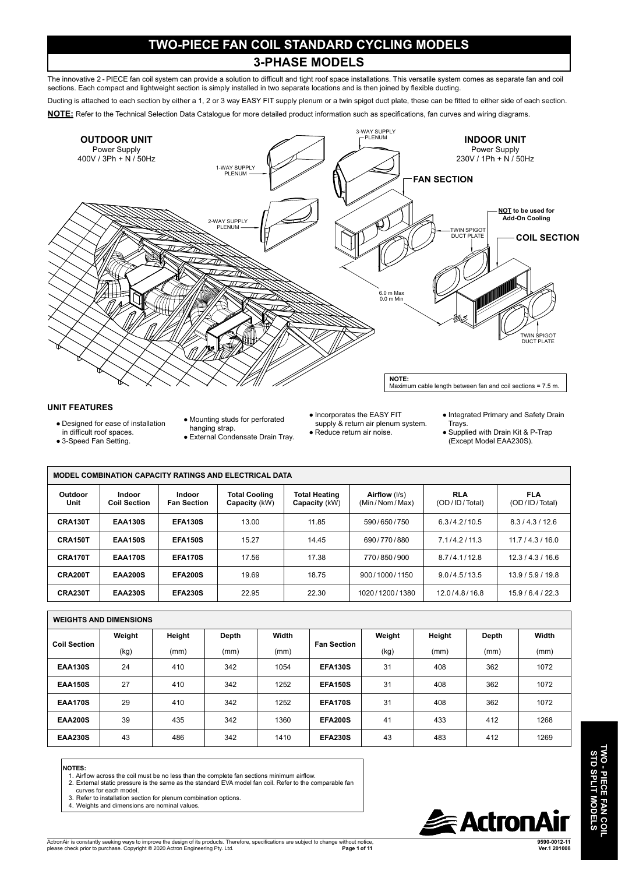## **TWO-PIECE FAN COIL STANDARD CYCLING MODELS**

### **3-PHASE MODELS**

The innovative 2 - PIECE fan coil system can provide a solution to difficult and tight roof space installations. This versatile system comes as separate fan and coil sections. Each compact and lightweight section is simply installed in two separate locations and is then joined by flexible ducting.

Ducting is attached to each section by either a 1, 2 or 3 way EASY FIT supply plenum or a twin spigot duct plate, these can be fitted to either side of each section.

**NOTE:** Refer to the Technical Selection Data Catalogue for more detailed product information such as specifications, fan curves and wiring diagrams.



#### **UNIT FEATURES**

- Designed for ease of installation
- in difficult roof spaces.
- 3-Speed Fan Setting.
- Mounting studs for perforated hanging strap.
- External Condensate Drain Tray.
- Incorporates the EASY FIT supply & return air plenum system.
- Reduce return air noise.
- Integrated Primary and Safety Drain Trays.
- Supplied with Drain Kit & P-Trap (Except Model EAA230S).

| <b>MODEL COMBINATION CAPACITY RATINGS AND ELECTRICAL DATA</b> |                               |                                     |                                |                                       |                                |                             |                             |  |  |  |  |
|---------------------------------------------------------------|-------------------------------|-------------------------------------|--------------------------------|---------------------------------------|--------------------------------|-----------------------------|-----------------------------|--|--|--|--|
| Outdoor<br>Unit                                               | Indoor<br><b>Coil Section</b> | <b>Indoor</b><br><b>Fan Section</b> | Total Cooling<br>Capacity (kW) | <b>Total Heating</b><br>Capacity (kW) | Airflow (I/s)<br>(Min/Nom/Max) | <b>RLA</b><br>(OD/ID/Total) | <b>FLA</b><br>(OD/ID/Total) |  |  |  |  |
| CRA130T                                                       | <b>EAA130S</b>                | <b>EFA130S</b>                      | 13.00                          | 11.85                                 | 590/650/750                    | 6.3/4.2/10.5                | 8.3/4.3/12.6                |  |  |  |  |
| CRA150T                                                       | <b>EAA150S</b>                | <b>EFA150S</b>                      | 15.27                          | 14.45                                 | 690/770/880                    | 7.1/4.2/11.3                | 11.7/4.3/16.0               |  |  |  |  |
| CRA170T                                                       | <b>EAA170S</b>                | <b>EFA170S</b>                      | 17.56                          | 17.38                                 | 770/850/900                    | 8.7/4.1/12.8                | 12.3/4.3/16.6               |  |  |  |  |
| CRA200T                                                       | <b>EAA200S</b>                | <b>EFA200S</b>                      | 19.69                          | 18.75                                 | 900/1000/1150                  | 9.0/4.5/13.5                | 13.9/5.9/19.8               |  |  |  |  |
| CRA230T                                                       | <b>EAA230S</b>                | <b>EFA230S</b>                      | 22.95                          | 22.30                                 | 1020/1200/1380                 | 12.0/4.8/16.8               | 15.9/6.4/22.3               |  |  |  |  |

| <b>WEIGHTS AND DIMENSIONS</b> |        |        |       |       |                    |        |        |       |       |  |  |
|-------------------------------|--------|--------|-------|-------|--------------------|--------|--------|-------|-------|--|--|
| <b>Coil Section</b>           | Weight | Height | Depth | Width | <b>Fan Section</b> | Weight | Height | Depth | Width |  |  |
|                               | (kg)   | (mm)   | (mm)  | (mm)  |                    | (kg)   | (mm)   | (mm)  | (mm)  |  |  |
| <b>EAA130S</b>                | 24     | 410    | 342   | 1054  | <b>EFA130S</b>     | 31     | 408    | 362   | 1072  |  |  |
| <b>EAA150S</b>                | 27     | 410    | 342   | 1252  | <b>EFA150S</b>     | 31     | 408    | 362   | 1072  |  |  |
| <b>EAA170S</b>                | 29     | 410    | 342   | 1252  | <b>EFA170S</b>     | 31     | 408    | 362   | 1072  |  |  |
| <b>EAA200S</b>                | 39     | 435    | 342   | 1360  | <b>EFA200S</b>     | 41     | 433    | 412   | 1268  |  |  |
| <b>EAA230S</b>                | 43     | 486    | 342   | 1410  | <b>EFA230S</b>     | 43     | 483    | 412   | 1269  |  |  |

#### **NOTES:**

- 1. Airflow across the coil must be no less than the complete fan sections minimum airflow.
- 2. External static pressure is the same as the standard EVA model fan coil. Refer to the comparable fan
- curves for each model. 3. Refer to installation section for plenum combination options.
- 



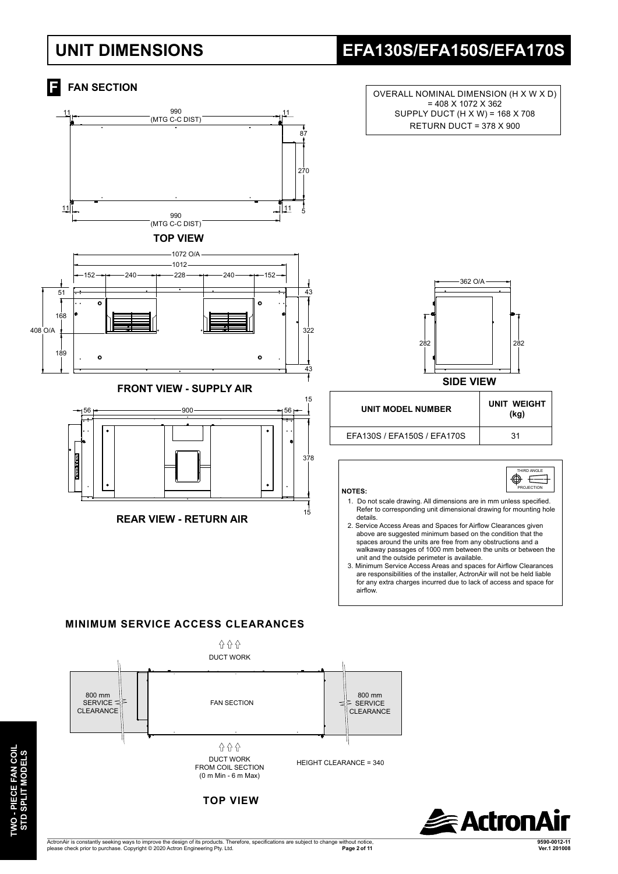## **UNIT DIMENSIONS EFA130S/EFA150S/EFA170S**



**TWO - PIECE FAN COIL**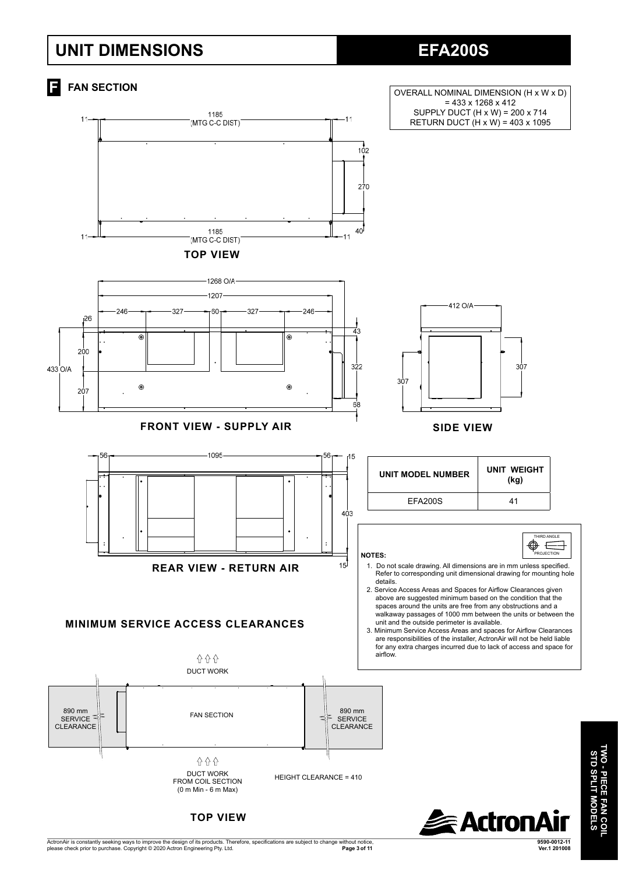## **UNIT DIMENSIONS**

## **EFA200S**



ActronAir is constantly seeking ways to improve the design of its products. Therefore, specifications are subject to change without notice,<br>Please check prior to purchase. Copyright © 2020 Actron Engineering Pty. Ltd. **Page 3 of 11 Ver.1 201008**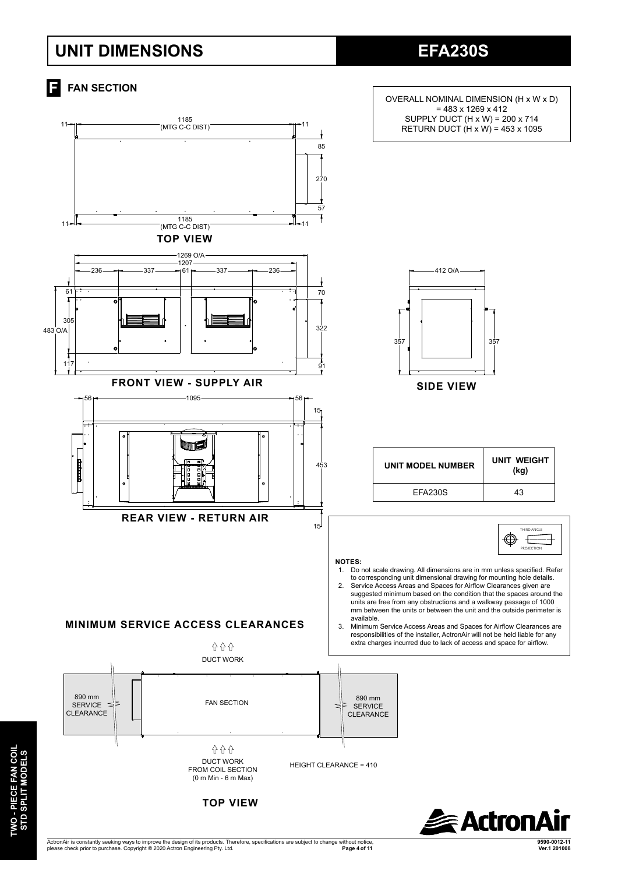## **UNIT DIMENSIONS**

**EFA230S**



ActronAir is constantly seeking ways to improve the design of its products. Therefore, specifications are subject to change without notice,<br>Please check prior to purchase. Copyright © 2020 Actron Engineering Pty. Ltd. **Page 4 of 11****Ver.1 201008** 

**TWO - PIECE FAN COIL**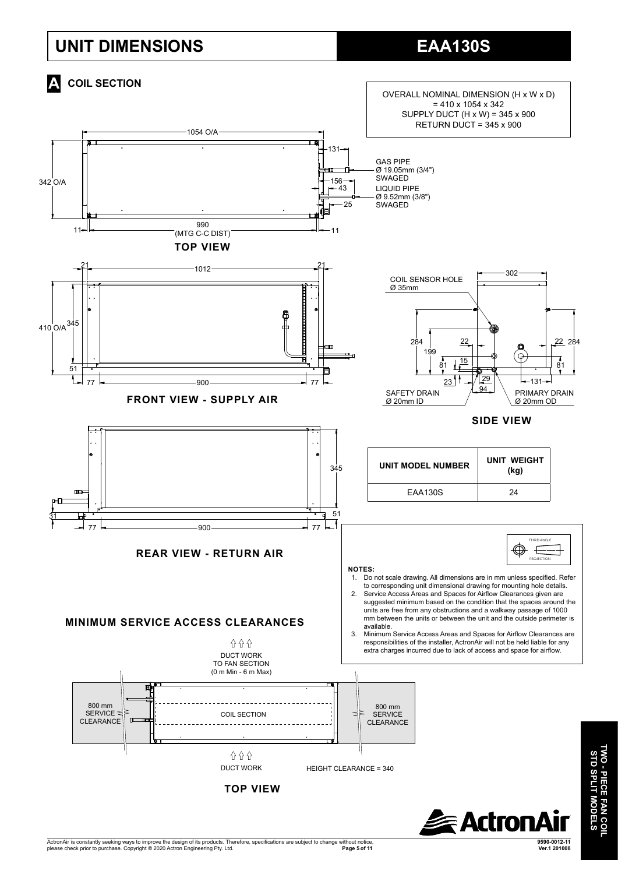## **UNIT DIMENSIONS**

![](_page_4_Figure_2.jpeg)

![](_page_4_Picture_3.jpeg)

**TWO - PIECE FAN COIL STD SPLIT MODELS**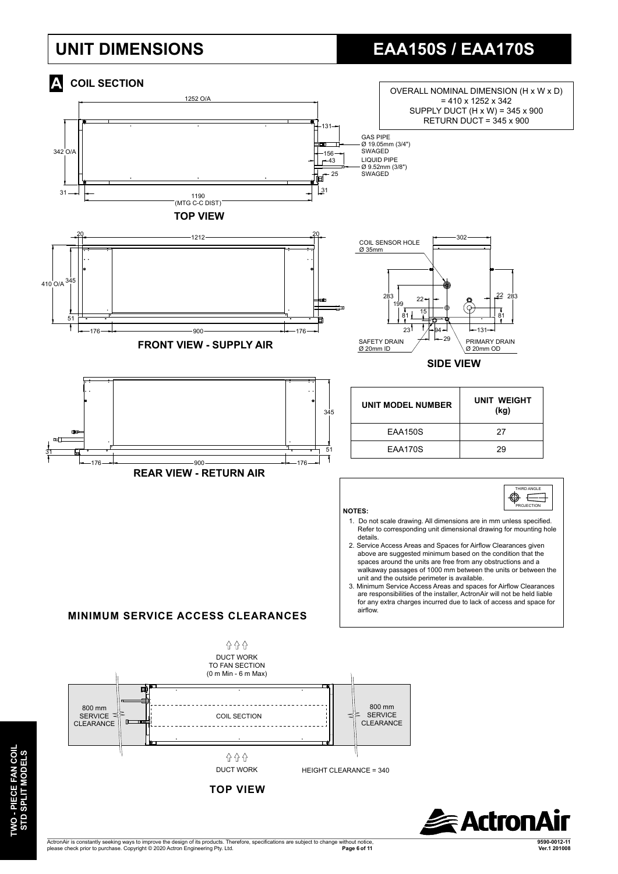# **UNIT DIMENSIONS EAA150S / EAA170S**

![](_page_5_Figure_2.jpeg)

**TWO - PIECE FAN COIL**  TWO - PIECE FAN COIL<br>STD SPLIT MODELS **STD SPLIT MODELS**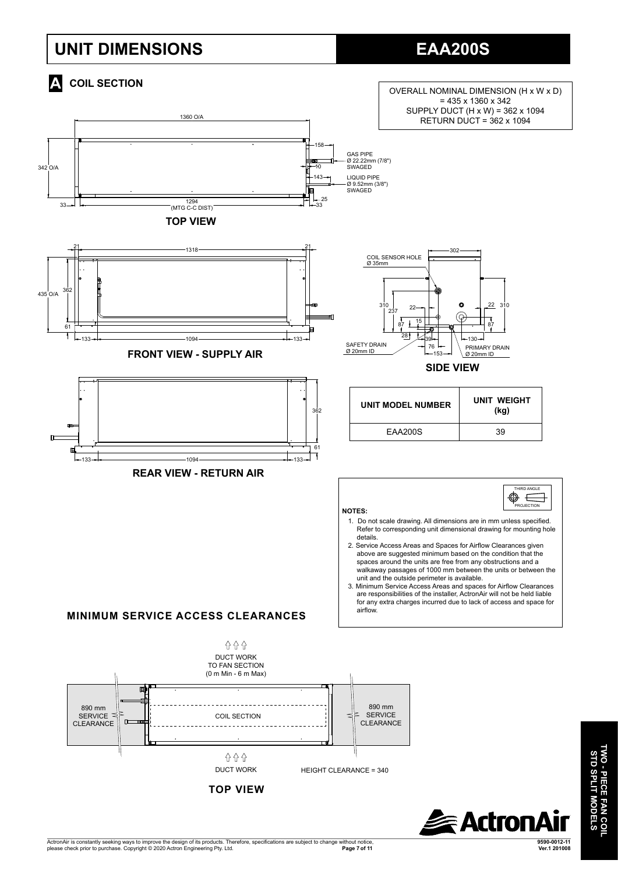# **UNIT DIMENSIONS EAA200S**

![](_page_6_Figure_2.jpeg)

![](_page_6_Picture_3.jpeg)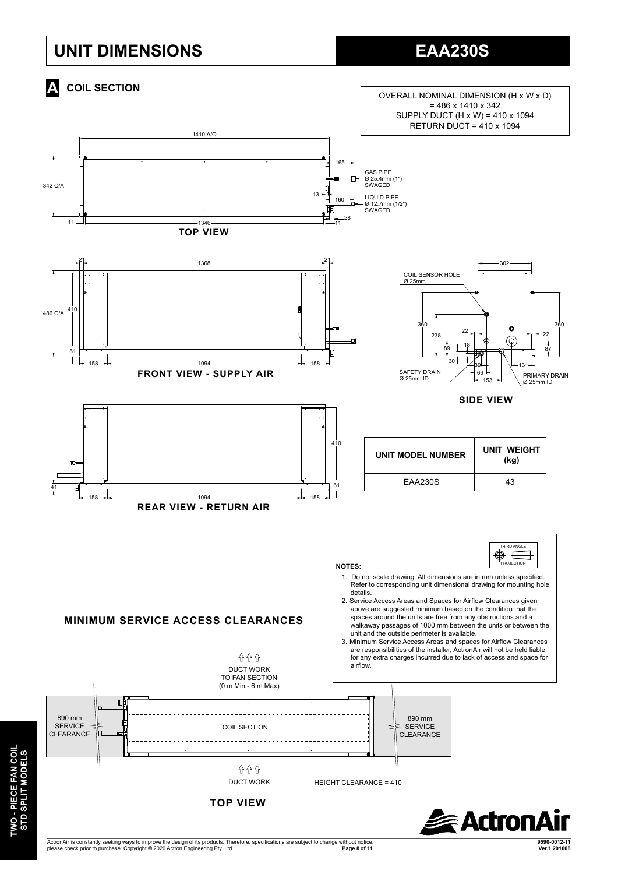## **UNIT DIMENSIONS EAA230S**

![](_page_7_Figure_2.jpeg)

ActronAir is constantly seeking ways to improve the design of its products. Therefore, specifications are subject to change without notice,<br>Please check prior to purchase. Copyright © 2020 Actron Engineering Pty. Ltd. **Page 8 of 11****Ver.1 201008**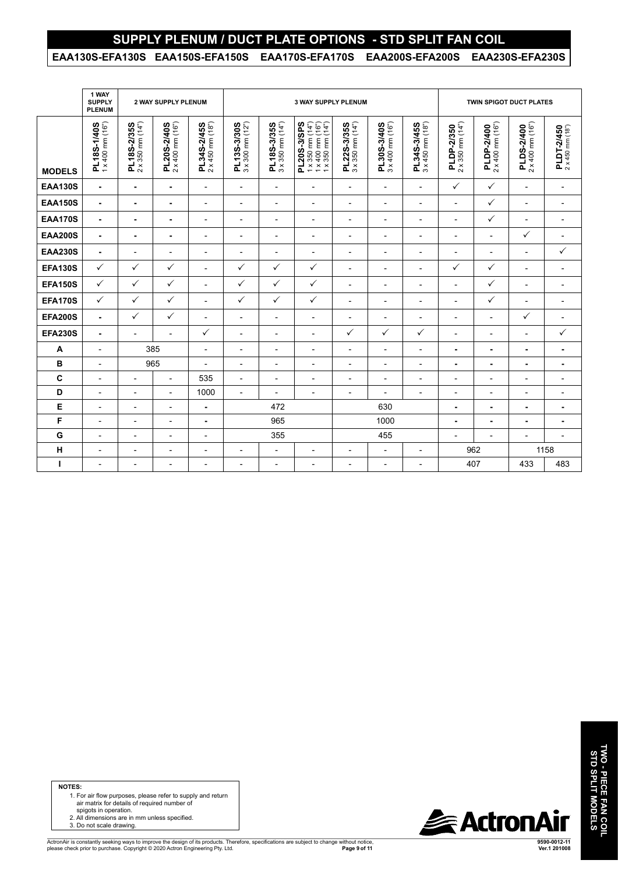### **SUPPLY PLENUM / DUCT PLATE OPTIONS - STD SPLIT FAN COIL**

#### **EAA130S-EFA130S EAA150S-EFA150S EAA170S-EFA170S EAA200S-EFA200S EAA230S-EFA230S**

|                | 1 WAY<br><b>SUPPLY</b><br><b>PLENUM</b> | 2 WAY SUPPLY PLENUM                      |                                 |                                          | <b>3 WAY SUPPLY PLENUM</b>                       |                                          |                                                                                                                                                     |                                                                                  |                                 |                                          | <b>TWIN SPIGOT DUCT PLATES</b>          |                                         |                                         |                                |
|----------------|-----------------------------------------|------------------------------------------|---------------------------------|------------------------------------------|--------------------------------------------------|------------------------------------------|-----------------------------------------------------------------------------------------------------------------------------------------------------|----------------------------------------------------------------------------------|---------------------------------|------------------------------------------|-----------------------------------------|-----------------------------------------|-----------------------------------------|--------------------------------|
| <b>MODELS</b>  | PL18S-1/40S<br>1 x 400 mm (16")         | $2 \times 350$ mm $(14")$<br>PL18S-2/35S | PL20S-2/40S<br>2 x 400 mm (16") | $2 \times 450$ mm $(18n)$<br>PL34S-2/45S | $3 \times 300$ mm $(12n)$<br>PL13S-3/30S         | $3 \times 350$ mm $(14")$<br>PL18S-3/35S | PL20S-3/SPS<br>$\begin{array}{c} 1 \times 350 \text{ mm } (14^n) \\ 1 \times 400 \text{ mm } (16^n) \\ 1 \times 350 \text{ mm } (14^n) \end{array}$ | PL22S-3/35S<br>3 x 350 mm (14")                                                  | PL30S-3/40S<br>3 x 400 mm (16") | $3 \times 450$ mm $(18n)$<br>PL34S-3/45S | $2 \times 350$ mm $(14")$<br>PLDP-2/350 | $2 \times 400$ mm $(16")$<br>PLDP-2/400 | $2 \times 400$ mm $(16")$<br>PLDS-2/400 | PLDT-2/450<br>2 x 450 mm (18") |
| <b>EAA130S</b> | $\blacksquare$                          | ٠                                        | ٠                               | $\overline{\phantom{a}}$                 | $\overline{\phantom{a}}$                         | $\overline{\phantom{a}}$                 | L,                                                                                                                                                  | $\blacksquare$                                                                   | $\overline{\phantom{a}}$        | $\overline{\phantom{a}}$                 | $\checkmark$                            | ✓                                       | $\overline{\phantom{a}}$                | $\overline{\phantom{a}}$       |
| <b>EAA150S</b> | $\blacksquare$                          | ٠                                        | ٠                               | $\overline{\phantom{a}}$                 | $\overline{a}$                                   | $\overline{\phantom{0}}$                 | $\blacksquare$                                                                                                                                      | $\blacksquare$                                                                   | $\blacksquare$                  | $\overline{\phantom{a}}$                 | $\overline{\phantom{0}}$                | ✓                                       | $\overline{\phantom{0}}$                | $\overline{\phantom{a}}$       |
| <b>EAA170S</b> | $\blacksquare$                          | ٠                                        | ٠                               | $\overline{\phantom{0}}$                 | $\overline{\phantom{a}}$                         | $\overline{a}$                           | $\blacksquare$                                                                                                                                      | $\blacksquare$                                                                   | $\blacksquare$                  | $\overline{\phantom{0}}$                 | $\overline{a}$                          | ✓                                       | $\overline{\phantom{0}}$                | $\overline{\phantom{a}}$       |
| <b>EAA200S</b> | $\blacksquare$                          | ٠                                        | ٠                               | $\overline{\phantom{0}}$                 | $\overline{\phantom{0}}$                         | $\overline{a}$                           | $\overline{a}$                                                                                                                                      | $\overline{a}$                                                                   | $\overline{\phantom{0}}$        | $\overline{\phantom{a}}$                 | $\overline{a}$                          | $\overline{a}$                          | ✓                                       | $\overline{\phantom{a}}$       |
| <b>EAA230S</b> | $\blacksquare$                          | $\overline{\phantom{a}}$                 | $\overline{\phantom{0}}$        | $\blacksquare$                           | $\overline{\phantom{a}}$                         | $\overline{a}$                           | L,                                                                                                                                                  | $\overline{\phantom{0}}$                                                         | $\blacksquare$                  | $\overline{\phantom{a}}$                 | $\overline{a}$                          | $\overline{a}$                          | $\overline{a}$                          | $\checkmark$                   |
| <b>EFA130S</b> | $\checkmark$                            | $\checkmark$                             | ✓                               | $\overline{\phantom{0}}$                 | ✓                                                | $\checkmark$                             | $\checkmark$                                                                                                                                        | $\overline{\phantom{0}}$                                                         | $\blacksquare$                  | $\overline{\phantom{0}}$                 | $\checkmark$                            | ✓                                       | $\overline{\phantom{0}}$                | $\overline{a}$                 |
| <b>EFA150S</b> | $\checkmark$                            | $\checkmark$                             | $\checkmark$                    | $\overline{\phantom{0}}$                 | $\checkmark$                                     | $\checkmark$                             | ✓                                                                                                                                                   | $\blacksquare$                                                                   | $\blacksquare$                  | $\overline{\phantom{0}}$                 | $\blacksquare$                          | $\checkmark$                            | $\overline{a}$                          | $\overline{\phantom{0}}$       |
| <b>EFA170S</b> | $\checkmark$                            | $\checkmark$                             | ✓                               | $\overline{\phantom{a}}$                 | $\checkmark$                                     | $\checkmark$                             | $\checkmark$                                                                                                                                        | $\overline{a}$                                                                   | $\overline{\phantom{0}}$        | $\overline{\phantom{a}}$                 | $\overline{a}$                          | ✓                                       | $\overline{a}$                          | $\overline{a}$                 |
| <b>EFA200S</b> | $\blacksquare$                          | ✓                                        | ✓                               | $\blacksquare$                           | $\overline{\phantom{a}}$                         | $\overline{\phantom{0}}$                 | $\blacksquare$                                                                                                                                      | $\blacksquare$                                                                   | $\blacksquare$                  | $\overline{\phantom{a}}$                 | $\overline{\phantom{0}}$                | $\blacksquare$                          | ✓                                       | $\overline{\phantom{a}}$       |
| <b>EFA230S</b> | $\blacksquare$                          | $\overline{a}$                           | L,                              | ✓                                        | $\overline{a}$                                   | $\overline{a}$                           | L,                                                                                                                                                  | $\checkmark$                                                                     | ✓                               | $\checkmark$                             | $\overline{a}$                          | $\blacksquare$                          | $\overline{a}$                          | ✓                              |
| A              | $\overline{\phantom{a}}$                | 385                                      |                                 | $\overline{\phantom{a}}$                 | $\overline{a}$                                   | $\overline{a}$                           | L,                                                                                                                                                  | $\overline{\phantom{a}}$                                                         | $\blacksquare$                  | $\overline{\phantom{a}}$                 | ÷                                       | $\blacksquare$                          | $\blacksquare$                          | ۰                              |
| B              | $\blacksquare$                          |                                          | 965<br>$\blacksquare$           |                                          | $\overline{\phantom{a}}$                         | $\overline{\phantom{0}}$                 | $\blacksquare$                                                                                                                                      | $\overline{\phantom{0}}$                                                         | $\blacksquare$                  | $\overline{\phantom{0}}$                 | ۰                                       | ۰                                       | ٠                                       | ۰                              |
| C              | $\overline{\phantom{a}}$                | $\overline{\phantom{a}}$                 | $\overline{a}$                  | 535                                      | $\overline{\phantom{a}}$                         | $\overline{a}$                           | ٠                                                                                                                                                   | $\overline{\phantom{a}}$                                                         | $\blacksquare$                  | $\overline{\phantom{a}}$                 | $\overline{\phantom{a}}$                | $\blacksquare$                          | $\overline{a}$                          | $\overline{\phantom{0}}$       |
| D              | $\overline{\phantom{a}}$                | $\overline{\phantom{0}}$                 | $\overline{a}$                  | 1000                                     | $\overline{\phantom{a}}$                         | $\overline{a}$                           | $\qquad \qquad \blacksquare$                                                                                                                        | $\overline{\phantom{a}}$                                                         | $\blacksquare$                  | $\overline{a}$                           | $\overline{a}$                          | $\overline{\phantom{a}}$                | $\overline{a}$                          | $\overline{\phantom{a}}$       |
| Е              |                                         |                                          | $\overline{a}$                  | $\blacksquare$                           | 472                                              |                                          |                                                                                                                                                     | 630                                                                              |                                 | i.                                       | ۰                                       | $\blacksquare$                          | ۰                                       |                                |
| F              | $\overline{\phantom{a}}$                | $\overline{\phantom{0}}$                 | $\overline{\phantom{0}}$        | $\blacksquare$                           | 965                                              |                                          |                                                                                                                                                     | 1000                                                                             |                                 | ٠                                        | ٠                                       | $\blacksquare$                          | ٠                                       |                                |
| G              | $\overline{\phantom{a}}$                | $\overline{\phantom{0}}$                 | $\overline{a}$                  | $\blacksquare$                           | 355                                              |                                          |                                                                                                                                                     | 455                                                                              |                                 |                                          | $\overline{\phantom{a}}$                | $\overline{\phantom{0}}$                | $\overline{a}$                          | $\overline{\phantom{a}}$       |
| н              | $\blacksquare$                          | $\blacksquare$                           | $\overline{\phantom{0}}$        | $\overline{\phantom{0}}$                 | $\blacksquare$<br>L,<br>$\overline{\phantom{0}}$ |                                          |                                                                                                                                                     | $\overline{\phantom{a}}$<br>$\overline{\phantom{a}}$<br>$\overline{\phantom{0}}$ |                                 | 962                                      |                                         | 1158                                    |                                         |                                |
| ı              | $\blacksquare$                          | ٠                                        | $\overline{a}$                  | $\blacksquare$                           | $\overline{\phantom{a}}$<br>-<br>-               |                                          | $\qquad \qquad \blacksquare$                                                                                                                        | $\overline{\phantom{a}}$<br>$\overline{\phantom{0}}$                             |                                 | 407                                      |                                         | 433                                     | 483                                     |                                |

**NOTES:**

- 1. For air flow purposes, please refer to supply and return air matrix for details of required number of spigots in operation.
	-
- 2. All dimensions are in mm unless specified. 3. Do not scale drawing.

![](_page_8_Picture_7.jpeg)

ActronAir is constantly seeking ways to improve the design of its products. Therefore, specifications are subject to change without notice,<br>Please check prior to purchase. Copyright © 2020 Actron Engineering Pty. Ltd. **9590-0012-11 Page 9 of 11 Ver.1 201008**  **TWO - PIECE FAN COIL**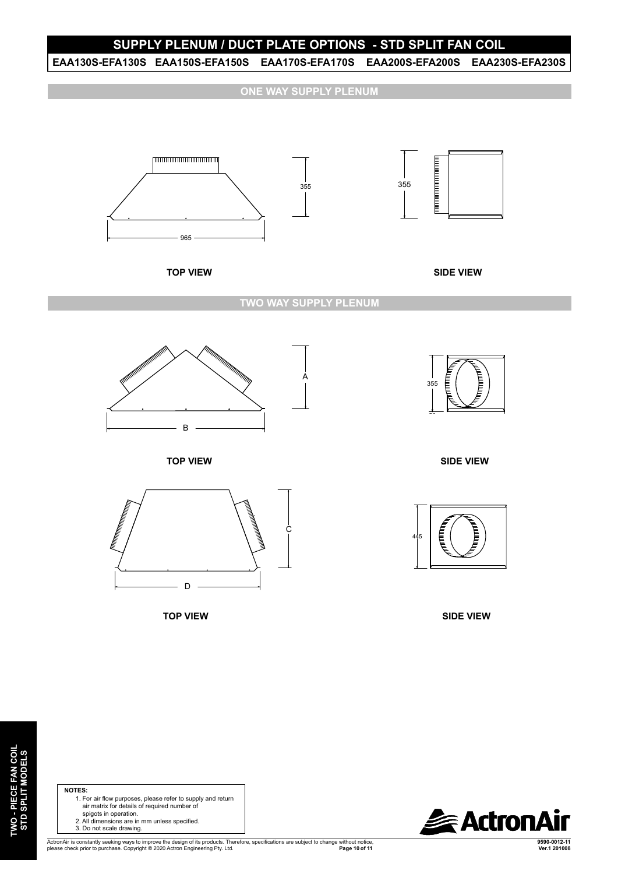#### **SUPPLY PLENUM / DUCT PLATE OPTIONS - STD SPLIT FAN COIL**

**EAA130S-EFA130S EAA150S-EFA150S EAA170S-EFA170S EAA200S-EFA200S EAA230S-EFA230S** EAA230S-EFA230S EAA170S-EFA170S

**ONE WAY SUPPLY PLENUM**

355

![](_page_9_Figure_3.jpeg)

![](_page_9_Figure_4.jpeg)

**TOP VIEW SIDE VIEW**

**TWO WAY SUPPLY PLENUM**

![](_page_9_Figure_8.jpeg)

**TOP VIEW**

![](_page_9_Figure_10.jpeg)

**TOP VIEW**

![](_page_9_Picture_12.jpeg)

**SIDE VIEW**

![](_page_9_Picture_14.jpeg)

**SIDE VIEW**

![](_page_9_Picture_16.jpeg)

95

#### 50 **NOTES:**

- 1. For air flow purposes, please refer to supply and return air matrix for details of required number of spigots in operation.
	- 2. All dimensions are in mm unless specified.
	- 3. Do not scale drawing.

ActronAir is constantly seeking ways to improve the design of its products. Therefore, specifications are subject to change without notice,<br>please check prior to purchase. Copyright © 2020 Actron Engineering Pty. Ltd. **De** 

**9590-0012-11**

**ExactronAir**